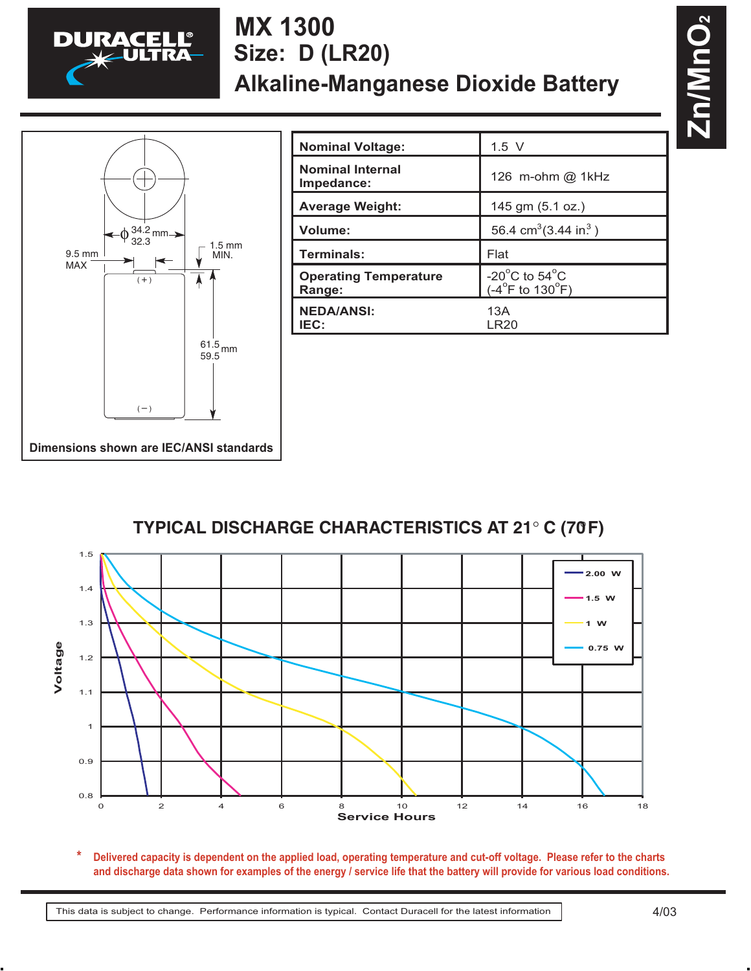

## **MX 1300 Alkaline-Manganese Dioxide Battery Size: D (LR20)**



| <b>Nominal Voltage:</b>                | $1.5$ V                                                                     |
|----------------------------------------|-----------------------------------------------------------------------------|
| <b>Nominal Internal</b><br>Impedance:  | 126 m-ohm @ 1kHz                                                            |
| <b>Average Weight:</b>                 | 145 gm (5.1 oz.)                                                            |
| Volume:                                | 56.4 cm <sup>3</sup> (3.44 in <sup>3</sup> )                                |
| Terminals:                             | Flat                                                                        |
| <b>Operating Temperature</b><br>Range: | -20 $^{\circ}$ C to 54 $^{\circ}$ C<br>$(-4^{\circ}$ F to 130 $^{\circ}$ F) |
| <b>NEDA/ANSI:</b><br>IEC:              | 13A<br>LR20                                                                 |

## **TYPICAL DISCHARGE CHARACTERISTICS AT 21**° **C (70**°**F)**



**Delivered capacity is dependent on the applied load, operating temperature and cut-off voltage. Please refer to the charts and discharge data shown for examples of the energy / service life that the battery will provide for various load conditions. \* capac**<br>arge d